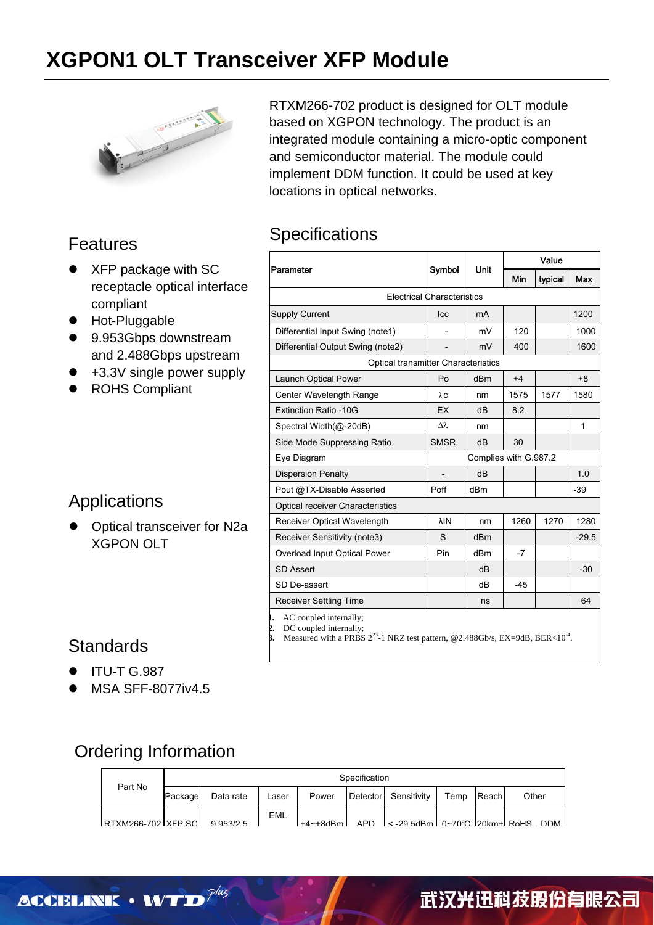# **XGPON1 OLT Transceiver XFP Module**



### Features

- XFP package with SC receptacle optical interface compliant
- Hot-Pluggable
- 9.953Gbps downstream and 2.488Gbps upstream
- +3.3V single power supply
- ROHS Compliant

### Applications

Optical transceiver for N2a XGPON OLT

RTXM266-702 product is designed for OLT module based on XGPON technology. The product is an integrated module containing a micro-optic component and semiconductor material. The module could implement DDM function. It could be used at key locations in optical networks.

#### **Specifications**

|                                   |                                            |        | Value |         |              |  |  |  |
|-----------------------------------|--------------------------------------------|--------|-------|---------|--------------|--|--|--|
| Parameter                         | Symbol                                     | Unit   | Min   | typical | Max          |  |  |  |
| <b>Electrical Characteristics</b> |                                            |        |       |         |              |  |  |  |
| <b>Supply Current</b>             | <b>Icc</b>                                 | mA     |       |         | 1200         |  |  |  |
| Differential Input Swing (note1)  |                                            | mV     | 120   |         | 1000         |  |  |  |
| Differential Output Swing (note2) |                                            | mV     | 400   |         | 1600         |  |  |  |
|                                   | <b>Optical transmitter Characteristics</b> |        |       |         |              |  |  |  |
| <b>Launch Optical Power</b>       | P <sub>0</sub>                             | $d$ Bm | $+4$  |         | $+8$         |  |  |  |
| Center Wavelength Range           | $\lambda$ C                                | nm     | 1575  | 1577    | 1580         |  |  |  |
| Extinction Ratio -10G             | EX                                         | dB     | 8.2   |         |              |  |  |  |
| Spectral Width(@-20dB)            | $\lambda\lambda$                           | nm     |       |         | $\mathbf{1}$ |  |  |  |
| Side Mode Suppressing Ratio       | <b>SMSR</b>                                | dB     | 30    |         |              |  |  |  |
| Eye Diagram                       | Complies with G.987.2                      |        |       |         |              |  |  |  |
| <b>Dispersion Penalty</b>         | $\overline{a}$                             | dB     |       |         | 1.0          |  |  |  |
| Pout @TX-Disable Asserted         | Poff                                       | dBm    |       |         | $-39$        |  |  |  |
| Optical receiver Characteristics  |                                            |        |       |         |              |  |  |  |
| Receiver Optical Wavelength       | λIΝ                                        | nm     | 1260  | 1270    | 1280         |  |  |  |
| Receiver Sensitivity (note3)      | S                                          | dBm    |       |         | $-29.5$      |  |  |  |
| Overload Input Optical Power      | Pin                                        | dBm    | $-7$  |         |              |  |  |  |
| SD Assert                         |                                            | dB     |       |         | $-30$        |  |  |  |
| SD De-assert                      |                                            | dB     | $-45$ |         |              |  |  |  |
| <b>Receiver Settling Time</b>     |                                            | ns     |       |         | 64           |  |  |  |

**1.** AC coupled internally;

**2.** DC coupled internally; **3.** Measured with a PRBS  $2^{23}$ -1 NRZ test pattern, @2.488Gb/s, EX=9dB, BER<10<sup>-4</sup>.

#### **Standards**

- **ITU-T G.987**
- MSA SFF-8077iv4.5

### Ordering Information

|                               | Specification |           |       |       |  |                      |      |       |                                                                                                 |
|-------------------------------|---------------|-----------|-------|-------|--|----------------------|------|-------|-------------------------------------------------------------------------------------------------|
| Part No                       | Package       | Data rate | Laser | Power |  | Detector Sensitivity | Temp | Reach | Other                                                                                           |
| RTXM266-702 XFP SCL 9 953/2 5 |               |           | EML   |       |  |                      |      |       | $+4$ $\sim$ $+8$ dBm $\vert$ APD $\vert$ < -29.5dBm $\vert$ 0 $\sim$ 70°C 20km $\vert$ RoHS DDM |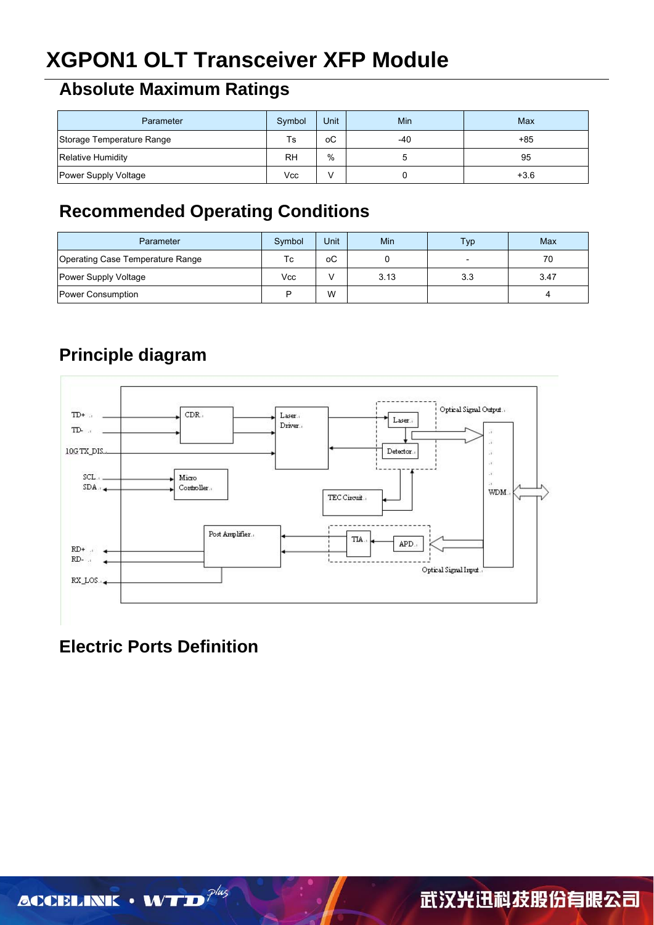# **XGPON1 OLT Transceiver XFP Module**

## **Absolute Maximum Ratings**

| Parameter                 | Symbol    | <b>Unit</b> | Min | Max    |
|---------------------------|-----------|-------------|-----|--------|
| Storage Temperature Range | Ts        | оC          | -40 | $+85$  |
| <b>Relative Humidity</b>  | <b>RH</b> | %           |     | 95     |
| Power Supply Voltage      | Vcc       |             |     | $+3.6$ |

## **Recommended Operating Conditions**

| Parameter                        | Symbol | Unit | Min  | <b>Typ</b> | Max  |
|----------------------------------|--------|------|------|------------|------|
| Operating Case Temperature Range | Тc     | оC   |      |            | 70   |
| Power Supply Voltage             | Vcc    |      | 3.13 | 3.3        | 3.47 |
| Power Consumption                | D      | W    |      |            |      |

## **Principle diagram**



# **Electric Ports Definition**